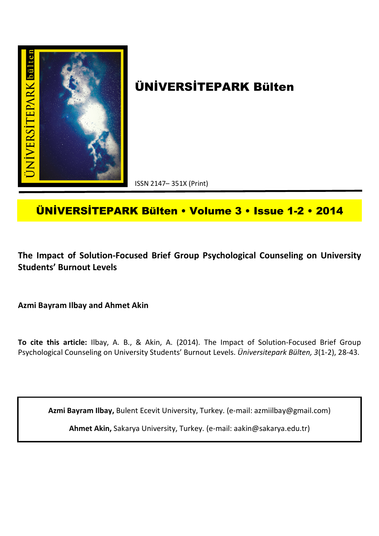

# **ÜNİVERSİTEPARK Bülten**

ISSN 2147– 351X (Print)

## **ÜNİVERSİTEPARK Bülten • Volume 3 • Issue 1-2 • 2014**

**The Impact of Solution-Focused Brief Group Psychological Counseling on University Students' Burnout Levels**

**Azmi Bayram Ilbay and Ahmet Akin**

**To cite this article:** Ilbay, A. B., & Akin, A. (2014). The Impact of Solution-Focused Brief Group Psychological Counseling on University Students' Burnout Levels. *Üniversitepark Bülten, 3*(1-2), 28-43.

**Azmi Bayram Ilbay,** Bulent Ecevit University, Turkey. (e-mail: azmiilbay@gmail.com)

**Ahmet Akin,** Sakarya University, Turkey. (e-mail: aakin@sakarya.edu.tr)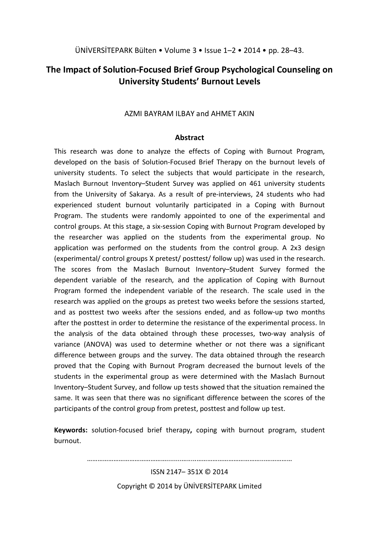### **The Impact of Solution-Focused Brief Group Psychological Counseling on University Students' Burnout Levels**

#### AZMI BAYRAM ILBAY and AHMET AKIN

#### **Abstract**

This research was done to analyze the effects of Coping with Burnout Program, developed on the basis of Solution-Focused Brief Therapy on the burnout levels of university students. To select the subjects that would participate in the research, Maslach Burnout Inventory–Student Survey was applied on 461 university students from the University of Sakarya. As a result of pre-interviews, 24 students who had experienced student burnout voluntarily participated in a Coping with Burnout Program. The students were randomly appointed to one of the experimental and control groups. At this stage, a six-session Coping with Burnout Program developed by the researcher was applied on the students from the experimental group. No application was performed on the students from the control group. A 2x3 design (experimental/ control groups X pretest/ posttest/ follow up) was used in the research. The scores from the Maslach Burnout Inventory–Student Survey formed the dependent variable of the research, and the application of Coping with Burnout Program formed the independent variable of the research. The scale used in the research was applied on the groups as pretest two weeks before the sessions started, and as posttest two weeks after the sessions ended, and as follow-up two months after the posttest in order to determine the resistance of the experimental process. In the analysis of the data obtained through these processes, two-way analysis of variance (ANOVA) was used to determine whether or not there was a significant difference between groups and the survey. The data obtained through the research proved that the Coping with Burnout Program decreased the burnout levels of the students in the experimental group as were determined with the Maslach Burnout Inventory–Student Survey, and follow up tests showed that the situation remained the same. It was seen that there was no significant difference between the scores of the participants of the control group from pretest, posttest and follow up test.

**Keywords:** solution-focused brief therapy**,** coping with burnout program, student burnout.

………………………………………........….....………………………………...……………

ISSN 2147– 351X © 2014 Copyright © 2014 by ÜNİVERSİTEPARK Limited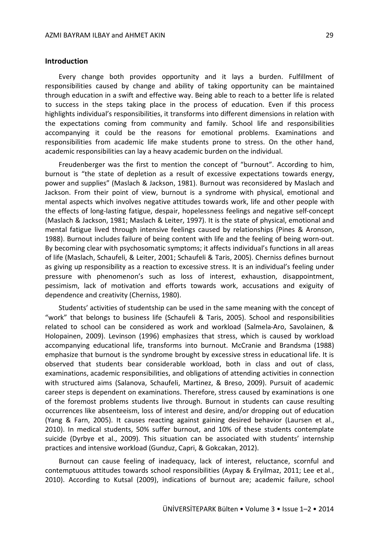#### **Introduction**

Every change both provides opportunity and it lays a burden. Fulfillment of responsibilities caused by change and ability of taking opportunity can be maintained through education in a swift and effective way. Being able to reach to a better life is related to success in the steps taking place in the process of education. Even if this process highlights individual's responsibilities, it transforms into different dimensions in relation with the expectations coming from community and family. School life and responsibilities accompanying it could be the reasons for emotional problems. Examinations and responsibilities from academic life make students prone to stress. On the other hand, academic responsibilities can lay a heavy academic burden on the individual.

Freudenberger was the first to mention the concept of "burnout". According to him, burnout is "the state of depletion as a result of excessive expectations towards energy, power and supplies" (Maslach & Jackson, 1981). Burnout was reconsidered by Maslach and Jackson. From their point of view, burnout is a syndrome with physical, emotional and mental aspects which involves negative attitudes towards work, life and other people with the effects of long-lasting fatigue, despair, hopelessness feelings and negative self-concept (Maslach & Jackson, 1981; Maslach & Leiter, 1997). It is the state of physical, emotional and mental fatigue lived through intensive feelings caused by relationships (Pines & Aronson, 1988). Burnout includes failure of being content with life and the feeling of being worn-out. By becoming clear with psychosomatic symptoms; it affects individual's functions in all areas of life (Maslach, Schaufeli, & Leiter, 2001; Schaufeli & Taris, 2005). Cherniss defines burnout as giving up responsibility as a reaction to excessive stress. It is an individual's feeling under pressure with phenomenon's such as loss of interest, exhaustion, disappointment, pessimism, lack of motivation and efforts towards work, accusations and exiguity of dependence and creativity (Cherniss, 1980).

Students' activities of studentship can be used in the same meaning with the concept of "work" that belongs to business life (Schaufeli & Taris, 2005). School and responsibilities related to school can be considered as work and workload (Salmela-Aro, Savolainen, & Holopainen, 2009). Levinson (1996) emphasizes that stress, which is caused by workload accompanying educational life, transforms into burnout. McCranie and Brandsma (1988) emphasize that burnout is the syndrome brought by excessive stress in educational life. It is observed that students bear considerable workload, both in class and out of class, examinations, academic responsibilities, and obligations of attending activities in connection with structured aims (Salanova, Schaufeli, Martinez, & Breso, 2009). Pursuit of academic career steps is dependent on examinations. Therefore, stress caused by examinations is one of the foremost problems students live through. Burnout in students can cause resulting occurrences like absenteeism, loss of interest and desire, and/or dropping out of education (Yang & Farn, 2005). It causes reacting against gaining desired behavior (Laursen et al., 2010). In medical students, 50% suffer burnout, and 10% of these students contemplate suicide (Dyrbye et al., 2009). This situation can be associated with students' internship practices and intensive workload (Gunduz, Capri, & Gokcakan, 2012).

Burnout can cause feeling of inadequacy, lack of interest, reluctance, scornful and contemptuous attitudes towards school responsibilities (Aypay & Eryilmaz, 2011; Lee et al., 2010). According to Kutsal (2009), indications of burnout are; academic failure, school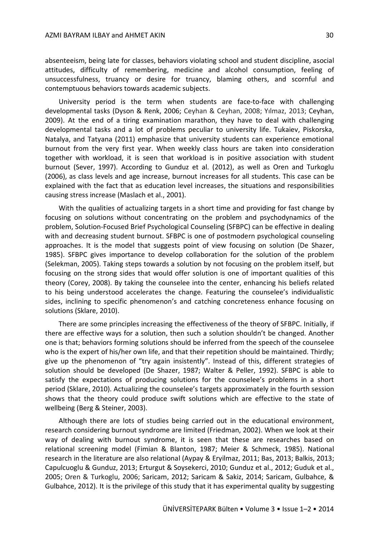absenteeism, being late for classes, behaviors violating school and student discipline, asocial attitudes, difficulty of remembering, medicine and alcohol consumption, feeling of unsuccessfulness, truancy or desire for truancy, blaming others, and scornful and contemptuous behaviors towards academic subjects.

University period is the term when students are face-to-face with challenging developmental tasks (Dyson & Renk, 2006; Ceyhan & Ceyhan, 2008; Yılmaz, 2013; Ceyhan, 2009). At the end of a tiring examination marathon, they have to deal with challenging developmental tasks and a lot of problems peculiar to university life. Tukaiev, Piskorska, Natalya, and Tatyana (2011) emphasize that university students can experience emotional burnout from the very first year. When weekly class hours are taken into consideration together with workload, it is seen that workload is in positive association with student burnout (Sever, 1997). According to Gunduz et al. (2012), as well as Oren and Turkoglu (2006), as class levels and age increase, burnout increases for all students. This case can be explained with the fact that as education level increases, the situations and responsibilities causing stress increase (Maslach et al., 2001).

With the qualities of actualizing targets in a short time and providing for fast change by focusing on solutions without concentrating on the problem and psychodynamics of the problem, Solution-Focused Brief Psychological Counseling (SFBPC) can be effective in dealing with and decreasing student burnout. SFBPC is one of postmodern psychological counseling approaches. It is the model that suggests point of view focusing on solution (De Shazer, 1985). SFBPC gives importance to develop collaboration for the solution of the problem (Selekman, 2005). Taking steps towards a solution by not focusing on the problem itself, but focusing on the strong sides that would offer solution is one of important qualities of this theory (Corey, 2008). By taking the counselee into the center, enhancing his beliefs related to his being understood accelerates the change. Featuring the counselee's individualistic sides, inclining to specific phenomenon's and catching concreteness enhance focusing on solutions (Sklare, 2010).

There are some principles increasing the effectiveness of the theory of SFBPC. Initially, if there are effective ways for a solution, then such a solution shouldn't be changed. Another one is that; behaviors forming solutions should be inferred from the speech of the counselee who is the expert of his/her own life, and that their repetition should be maintained. Thirdly; give up the phenomenon of "try again insistently". Instead of this, different strategies of solution should be developed (De Shazer, 1987; Walter & Peller, 1992). SFBPC is able to satisfy the expectations of producing solutions for the counselee's problems in a short period (Sklare, 2010). Actualizing the counselee's targets approximately in the fourth session shows that the theory could produce swift solutions which are effective to the state of wellbeing (Berg & Steiner, 2003).

Although there are lots of studies being carried out in the educational environment, research considering burnout syndrome are limited (Friedman, 2002). When we look at their way of dealing with burnout syndrome, it is seen that these are researches based on relational screening model (Fimian & Blanton, 1987; Meier & Schmeck, 1985). National research in the literature are also relational (Aypay & Eryilmaz, 2011; Bas, 2013; Balkis, 2013; Capulcuoglu & Gunduz, 2013; Erturgut & Soysekerci, 2010; Gunduz et al., 2012; Guduk et al., 2005; Oren & Turkoglu, 2006; Saricam, 2012; Saricam & Sakiz, 2014; Saricam, Gulbahce, & Gulbahce, 2012). It is the privilege of this study that it has experimental quality by suggesting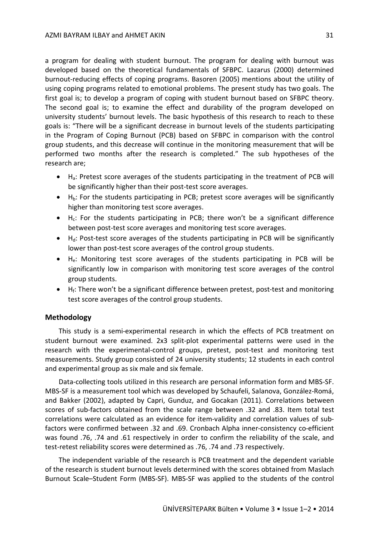a program for dealing with student burnout. The program for dealing with burnout was developed based on the theoretical fundamentals of SFBPC. Lazarus (2000) determined burnout-reducing effects of coping programs. Basoren (2005) mentions about the utility of using coping programs related to emotional problems. The present study has two goals. The first goal is; to develop a program of coping with student burnout based on SFBPC theory. The second goal is; to examine the effect and durability of the program developed on university students' burnout levels. The basic hypothesis of this research to reach to these goals is: "There will be a significant decrease in burnout levels of the students participating in the Program of Coping Burnout (PCB) based on SFBPC in comparison with the control group students, and this decrease will continue in the monitoring measurement that will be performed two months after the research is completed." The sub hypotheses of the research are;

- $\bullet$  H<sub>a</sub>: Pretest score averages of the students participating in the treatment of PCB will be significantly higher than their post-test score averages.
- $\bullet$  H<sub>b</sub>: For the students participating in PCB; pretest score averages will be significantly higher than monitoring test score averages.
- $H<sub>c</sub>$ : For the students participating in PCB; there won't be a significant difference between post-test score averages and monitoring test score averages.
- $\bullet$  H<sub>d</sub>: Post-test score averages of the students participating in PCB will be significantly lower than post-test score averages of the control group students.
- He: Monitoring test score averages of the students participating in PCB will be significantly low in comparison with monitoring test score averages of the control group students.
- $\bullet$  H<sub>f</sub>: There won't be a significant difference between pretest, post-test and monitoring test score averages of the control group students.

#### **Methodology**

This study is a semi-experimental research in which the effects of PCB treatment on student burnout were examined. 2x3 split-plot experimental patterns were used in the research with the experimental-control groups, pretest, post-test and monitoring test measurements. Study group consisted of 24 university students; 12 students in each control and experimental group as six male and six female.

Data-collecting tools utilized in this research are personal information form and MBS-SF. MBS-SF is a measurement tool which was developed by Schaufeli, Salanova, González-Romá, and Bakker (2002), adapted by Capri, Gunduz, and Gocakan (2011). Correlations between scores of sub-factors obtained from the scale range between .32 and .83. Item total test correlations were calculated as an evidence for item-validity and correlation values of subfactors were confirmed between .32 and .69. Cronbach Alpha inner-consistency co-efficient was found .76, .74 and .61 respectively in order to confirm the reliability of the scale, and test-retest reliability scores were determined as .76, .74 and .73 respectively.

The independent variable of the research is PCB treatment and the dependent variable of the research is student burnout levels determined with the scores obtained from Maslach Burnout Scale–Student Form (MBS-SF). MBS-SF was applied to the students of the control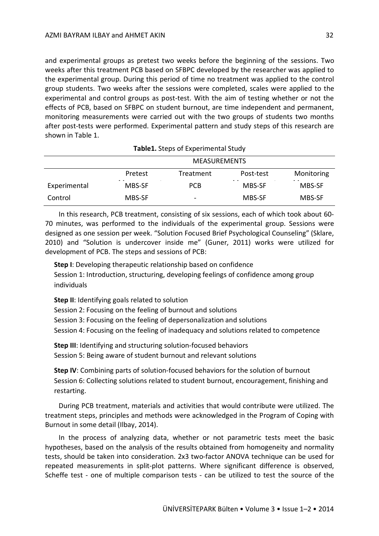and experimental groups as pretest two weeks before the beginning of the sessions. Two weeks after this treatment PCB based on SFBPC developed by the researcher was applied to the experimental group. During this period of time no treatment was applied to the control group students. Two weeks after the sessions were completed, scales were applied to the experimental and control groups as post-test. With the aim of testing whether or not the effects of PCB, based on SFBPC on student burnout, are time independent and permanent, monitoring measurements were carried out with the two groups of students two months after post-tests were performed. Experimental pattern and study steps of this research are shown in Table 1.

|              | <b>MEASUREMENTS</b>         |                          |                          |               |  |  |  |  |
|--------------|-----------------------------|--------------------------|--------------------------|---------------|--|--|--|--|
|              | Pretest                     | Treatment                | Post-test                | Monitoring    |  |  |  |  |
| Experimental | $\sim$ 100 $\sim$<br>MBS-SF | <b>PCB</b>               | $\sim$ $ \sim$<br>MBS-SF | - -<br>MBS-SF |  |  |  |  |
| Control      | MBS-SF                      | $\overline{\phantom{0}}$ | MBS-SF                   | MBS-SF        |  |  |  |  |

In this research, PCB treatment, consisting of six sessions, each of which took about 60- 70 minutes, was performed to the individuals of the experimental group. Sessions were designed as one session per week. "Solution Focused Brief Psychological Counseling" (Sklare, 2010) and "Solution is undercover inside me" (Guner, 2011) works were utilized for development of PCB. The steps and sessions of PCB:

**Step I**: Developing therapeutic relationship based on confidence Session 1: Introduction, structuring, developing feelings of confidence among group individuals

**Step II**: Identifying goals related to solution

Session 2: Focusing on the feeling of burnout and solutions

Session 3: Focusing on the feeling of depersonalization and solutions

Session 4: Focusing on the feeling of inadequacy and solutions related to competence

**Step III**: Identifying and structuring solution-focused behaviors Session 5: Being aware of student burnout and relevant solutions

**Step IV**: Combining parts of solution-focused behaviors for the solution of burnout Session 6: Collecting solutions related to student burnout, encouragement, finishing and restarting.

During PCB treatment, materials and activities that would contribute were utilized. The treatment steps, principles and methods were acknowledged in the Program of Coping with Burnout in some detail (Ilbay, 2014).

In the process of analyzing data, whether or not parametric tests meet the basic hypotheses, based on the analysis of the results obtained from homogeneity and normality tests, should be taken into consideration. 2x3 two-factor ANOVA technique can be used for repeated measurements in split-plot patterns. Where significant difference is observed, Scheffe test - one of multiple comparison tests - can be utilized to test the source of the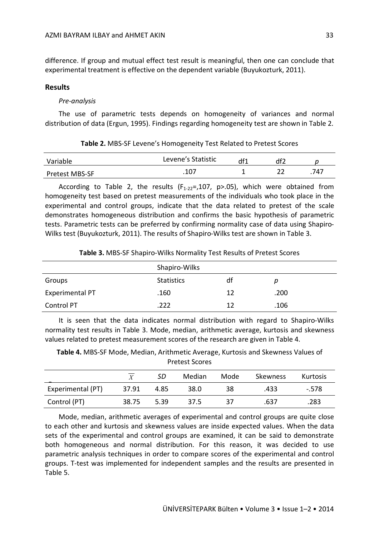difference. If group and mutual effect test result is meaningful, then one can conclude that experimental treatment is effective on the dependent variable (Buyukozturk, 2011).

#### **Results**

#### *Pre-analysis*

The use of parametric tests depends on homogeneity of variances and normal distribution of data (Ergun, 1995). Findings regarding homogeneity test are shown in Table 2.

| Variable              | Levene's Statistic | df1 |      |
|-----------------------|--------------------|-----|------|
| <b>Pretest MBS-SF</b> | 1 רח<br>، ٤        |     | .747 |

**Table 2.** MBS-SF Levene's Homogeneity Test Related to Pretest Scores

According to Table 2, the results  $(F_{1-22} = 0.107, p > 0.05)$ , which were obtained from homogeneity test based on pretest measurements of the individuals who took place in the experimental and control groups, indicate that the data related to pretest of the scale demonstrates homogeneous distribution and confirms the basic hypothesis of parametric

tests. Parametric tests can be preferred by confirming normality case of data using Shapiro-Wilks test (Buyukozturk, 2011). The results of Shapiro-Wilks test are shown in Table 3.

|                 | Shapiro-Wilks     |    |      |
|-----------------|-------------------|----|------|
| Groups          | <b>Statistics</b> | df | р    |
| Experimental PT | .160              | 12 | .200 |
| Control PT      | .222              | 12 | .106 |

**Table 3.** MBS-SF Shapiro-Wilks Normality Test Results of Pretest Scores

It is seen that the data indicates normal distribution with regard to Shapiro-Wilks normality test results in Table 3. Mode, median, arithmetic average, kurtosis and skewness values related to pretest measurement scores of the research are given in Table 4.

**Table 4.** MBS-SF Mode, Median, Arithmetic Average, Kurtosis and Skewness Values of Pretest Scores

|                   | $\boldsymbol{V}$ | SD   | Median | Mode | Skewness | Kurtosis |
|-------------------|------------------|------|--------|------|----------|----------|
| Experimental (PT) | 37.91            | 4.85 | 38.0   | 38   | .433     | $-578$   |
| Control (PT)      | 38.75            | 5.39 | 37.5   | 37   | .637     | .283     |

Mode, median, arithmetic averages of experimental and control groups are quite close to each other and kurtosis and skewness values are inside expected values. When the data sets of the experimental and control groups are examined, it can be said to demonstrate both homogeneous and normal distribution. For this reason, it was decided to use parametric analysis techniques in order to compare scores of the experimental and control groups. T-test was implemented for independent samples and the results are presented in Table 5.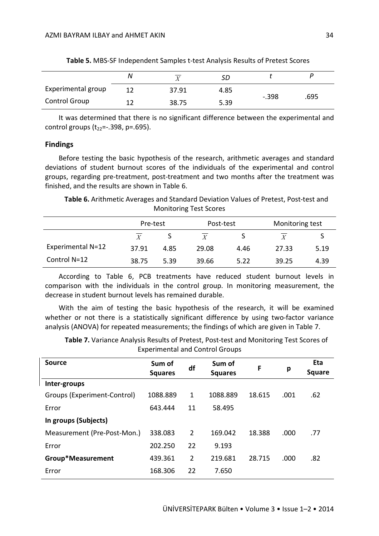|                      | N |       | SD   |         |      |
|----------------------|---|-------|------|---------|------|
| Experimental group   |   | 37.91 | 4.85 |         |      |
| <b>Control Group</b> |   | 38.75 | 5.39 | $-.398$ | .695 |

**Table 5.** MBS-SF Independent Samples t-test Analysis Results of Pretest Scores

It was determined that there is no significant difference between the experimental and control groups  $(t_{22}=-0.398, p=.695)$ .

#### **Findings**

Before testing the basic hypothesis of the research, arithmetic averages and standard deviations of student burnout scores of the individuals of the experimental and control groups, regarding pre-treatment, post-treatment and two months after the treatment was finished, and the results are shown in Table 6.

**Table 6.** Arithmetic Averages and Standard Deviation Values of Pretest, Post-test and Monitoring Test Scores

|                   | Pre-test         |      | Post-test |      | Monitoring test  |      |
|-------------------|------------------|------|-----------|------|------------------|------|
|                   | $\boldsymbol{X}$ |      |           |      | $\boldsymbol{Y}$ |      |
| Experimental N=12 | 37.91            | 4.85 | 29.08     | 4.46 | 27.33            | 5.19 |
| Control N=12      | 38.75            | 5.39 | 39.66     | 5.22 | 39.25            | 4.39 |

According to Table 6, PCB treatments have reduced student burnout levels in comparison with the individuals in the control group. In monitoring measurement, the decrease in student burnout levels has remained durable.

With the aim of testing the basic hypothesis of the research, it will be examined whether or not there is a statistically significant difference by using two-factor variance analysis (ANOVA) for repeated measurements; the findings of which are given in Table 7.

**Table 7.** Variance Analysis Results of Pretest, Post-test and Monitoring Test Scores of Experimental and Control Groups

| Source                      | Sum of<br><b>Squares</b> | df             | Sum of<br><b>Squares</b> | F      | р    | Eta<br><b>Square</b> |
|-----------------------------|--------------------------|----------------|--------------------------|--------|------|----------------------|
| Inter-groups                |                          |                |                          |        |      |                      |
| Groups (Experiment-Control) | 1088.889                 | 1              | 1088.889                 | 18.615 | .001 | .62                  |
| Error                       | 643.444                  | 11             | 58.495                   |        |      |                      |
| In groups (Subjects)        |                          |                |                          |        |      |                      |
| Measurement (Pre-Post-Mon.) | 338.083                  | $\overline{2}$ | 169.042                  | 18.388 | .000 | .77                  |
| Error                       | 202.250                  | 22             | 9.193                    |        |      |                      |
| Group*Measurement           | 439.361                  | $\overline{2}$ | 219.681                  | 28.715 | .000 | .82                  |
| Error                       | 168.306                  | 22             | 7.650                    |        |      |                      |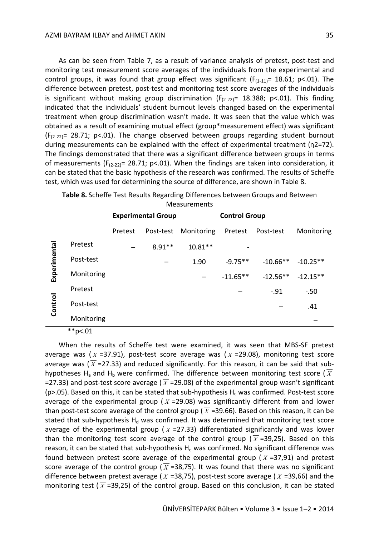As can be seen from Table 7, as a result of variance analysis of pretest, post-test and monitoring test measurement score averages of the individuals from the experimental and control groups, it was found that group effect was significant ( $F_{(1-11)}$ = 18.61; p<.01). The difference between pretest, post-test and monitoring test score averages of the individuals is significant without making group discrimination ( $F_{(2-22)}$ = 18.388; p<.01). This finding indicated that the individuals' student burnout levels changed based on the experimental treatment when group discrimination wasn't made. It was seen that the value which was obtained as a result of examining mutual effect (group\*measurement effect) was significant  $(F_{(2-22)}= 28.71; p<.01$ ). The change observed between groups regarding student burnout during measurements can be explained with the effect of experimental treatment (η2=72). The findings demonstrated that there was a significant difference between groups in terms of measurements ( $F_{(2-22)}$ = 28.71; p<.01). When the findings are taken into consideration, it can be stated that the basic hypothesis of the research was confirmed. The results of Scheffe test, which was used for determining the source of difference, are shown in Table 8.

|              | <b>Measurements</b> |                           |           |            |                      |             |            |
|--------------|---------------------|---------------------------|-----------|------------|----------------------|-------------|------------|
|              |                     | <b>Experimental Group</b> |           |            | <b>Control Group</b> |             |            |
|              |                     | Pretest                   | Post-test | Monitoring | Pretest              | Post-test   | Monitoring |
|              | Pretest             |                           | $8.91**$  | $10.81**$  |                      |             |            |
| Experimental | Post-test           |                           |           | 1.90       | $-9.75**$            | $-10.66$ ** | $-10.25**$ |
|              | Monitoring          |                           |           |            | $-11.65**$           | $-12.56**$  | $-12.15**$ |
|              | Pretest             |                           |           |            |                      | $-.91$      | $-.50$     |
| Control      | Post-test           |                           |           |            |                      |             | .41        |
|              | Monitoring          |                           |           |            |                      |             |            |

| Table 8. Scheffe Test Results Regarding Differences between Groups and Between |  |
|--------------------------------------------------------------------------------|--|
|--------------------------------------------------------------------------------|--|

 $*$  $p$ <.01

When the results of Scheffe test were examined, it was seen that MBS-SF pretest average was ( $\overline{X}$  =37.91), post-test score average was ( $\overline{X}$  =29.08), monitoring test score average was ( $\overline{X}$  =27.33) and reduced significantly. For this reason, it can be said that subhypotheses H<sub>a</sub> and H<sub>b</sub> were confirmed. The difference between monitoring test score ( $\overline{X}$ =27.33) and post-test score average ( $\overline{X}$  =29.08) of the experimental group wasn't significant ( $p$ >.05). Based on this, it can be stated that sub-hypothesis H<sub>c</sub> was confirmed. Post-test score average of the experimental group ( $\overline{X}$  =29.08) was significantly different from and lower than post-test score average of the control group ( $\overline{X}$  =39.66). Based on this reason, it can be stated that sub-hypothesis  $H_d$  was confirmed. It was determined that monitoring test score average of the experimental group ( $\overline{X}$ =27.33) differentiated significantly and was lower than the monitoring test score average of the control group ( $\overline{X}$ =39,25). Based on this reason, it can be stated that sub-hypothesis  $H<sub>e</sub>$  was confirmed. No significant difference was found between pretest score average of the experimental group ( $\overline{X}$ =37,91) and pretest score average of the control group ( $\overline{X}$  =38,75). It was found that there was no significant difference between pretest average ( $\overline{X}$  =38,75), post-test score average ( $\overline{X}$  =39,66) and the monitoring test ( $\overline{X}$  =39,25) of the control group. Based on this conclusion, it can be stated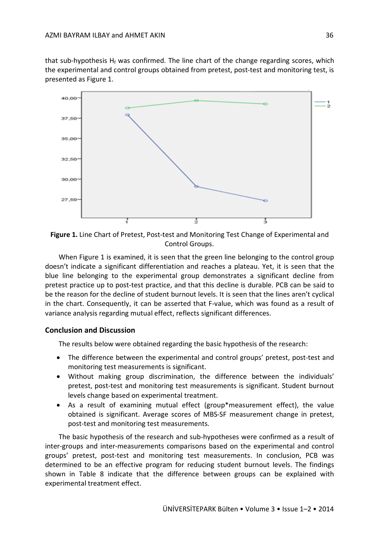that sub-hypothesis  $H_f$  was confirmed. The line chart of the change regarding scores, which the experimental and control groups obtained from pretest, post-test and monitoring test, is presented as Figure 1.



**Figure 1.** Line Chart of Pretest, Post-test and Monitoring Test Change of Experimental and Control Groups.

When Figure 1 is examined, it is seen that the green line belonging to the control group doesn't indicate a significant differentiation and reaches a plateau. Yet, it is seen that the blue line belonging to the experimental group demonstrates a significant decline from pretest practice up to post-test practice, and that this decline is durable. PCB can be said to be the reason for the decline of student burnout levels. It is seen that the lines aren't cyclical in the chart. Consequently, it can be asserted that F-value, which was found as a result of variance analysis regarding mutual effect, reflects significant differences.

#### **Conclusion and Discussion**

The results below were obtained regarding the basic hypothesis of the research:

- The difference between the experimental and control groups' pretest, post-test and monitoring test measurements is significant.
- Without making group discrimination, the difference between the individuals' pretest, post-test and monitoring test measurements is significant. Student burnout levels change based on experimental treatment.
- As a result of examining mutual effect (group\*measurement effect), the value obtained is significant. Average scores of MBS-SF measurement change in pretest, post-test and monitoring test measurements.

The basic hypothesis of the research and sub-hypotheses were confirmed as a result of inter-groups and inter-measurements comparisons based on the experimental and control groups' pretest, post-test and monitoring test measurements. In conclusion, PCB was determined to be an effective program for reducing student burnout levels. The findings shown in Table 8 indicate that the difference between groups can be explained with experimental treatment effect.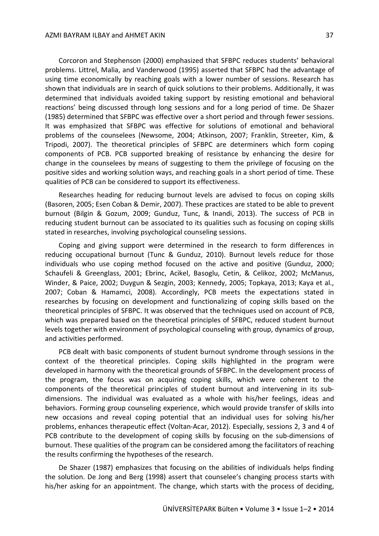Corcoron and Stephenson (2000) emphasized that SFBPC reduces students' behavioral problems. Littrel, Malia, and Vanderwood (1995) asserted that SFBPC had the advantage of using time economically by reaching goals with a lower number of sessions. Research has shown that individuals are in search of quick solutions to their problems. Additionally, it was determined that individuals avoided taking support by resisting emotional and behavioral reactions' being discussed through long sessions and for a long period of time. De Shazer (1985) determined that SFBPC was effective over a short period and through fewer sessions. It was emphasized that SFBPC was effective for solutions of emotional and behavioral problems of the counselees (Newsome, 2004; Atkinson, 2007; Franklin, Streeter, Kim, & Tripodi, 2007). The theoretical principles of SFBPC are determiners which form coping components of PCB. PCB supported breaking of resistance by enhancing the desire for change in the counselees by means of suggesting to them the privilege of focusing on the positive sides and working solution ways, and reaching goals in a short period of time. These qualities of PCB can be considered to support its effectiveness.

Researches heading for reducing burnout levels are advised to focus on coping skills (Basoren, 2005; Esen Coban & Demir, 2007). These practices are stated to be able to prevent burnout (Bilgin & Gozum, 2009; Gunduz, Tunc, & Inandi, 2013). The success of PCB in reducing student burnout can be associated to its qualities such as focusing on coping skills stated in researches, involving psychological counseling sessions.

Coping and giving support were determined in the research to form differences in reducing occupational burnout (Tunc & Gunduz, 2010). Burnout levels reduce for those individuals who use coping method focused on the active and positive (Gunduz, 2000; Schaufeli & Greenglass, 2001; Ebrinc, Acikel, Basoglu, Cetin, & Celikoz, 2002; McManus, Winder, & Paice, 2002; Duygun & Sezgin, 2003; Kennedy, 2005; Topkaya, 2013; Kaya et al., 2007; Coban & Hamamci, 2008). Accordingly, PCB meets the expectations stated in researches by focusing on development and functionalizing of coping skills based on the theoretical principles of SFBPC. It was observed that the techniques used on account of PCB, which was prepared based on the theoretical principles of SFBPC, reduced student burnout levels together with environment of psychological counseling with group, dynamics of group, and activities performed.

PCB dealt with basic components of student burnout syndrome through sessions in the context of the theoretical principles. Coping skills highlighted in the program were developed in harmony with the theoretical grounds of SFBPC. In the development process of the program, the focus was on acquiring coping skills, which were coherent to the components of the theoretical principles of student burnout and intervening in its subdimensions. The individual was evaluated as a whole with his/her feelings, ideas and behaviors. Forming group counseling experience, which would provide transfer of skills into new occasions and reveal coping potential that an individual uses for solving his/her problems, enhances therapeutic effect (Voltan-Acar, 2012). Especially, sessions 2, 3 and 4 of PCB contribute to the development of coping skills by focusing on the sub-dimensions of burnout. These qualities of the program can be considered among the facilitators of reaching the results confirming the hypotheses of the research.

De Shazer (1987) emphasizes that focusing on the abilities of individuals helps finding the solution. De Jong and Berg (1998) assert that counselee's changing process starts with his/her asking for an appointment. The change, which starts with the process of deciding,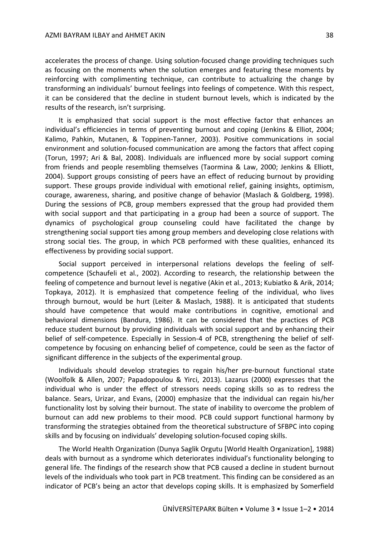accelerates the process of change. Using solution-focused change providing techniques such as focusing on the moments when the solution emerges and featuring these moments by reinforcing with complimenting technique, can contribute to actualizing the change by transforming an individuals' burnout feelings into feelings of competence. With this respect, it can be considered that the decline in student burnout levels, which is indicated by the results of the research, isn't surprising.

It is emphasized that social support is the most effective factor that enhances an individual's efficiencies in terms of preventing burnout and coping (Jenkins & Elliot, 2004; Kalimo, Pahkin, Mutanen, & Toppinen-Tanner, 2003). Positive communications in social environment and solution-focused communication are among the factors that affect coping (Torun, 1997; Ari & Bal, 2008). Individuals are influenced more by social support coming from friends and people resembling themselves (Taormina & Law, 2000; Jenkins & Elliott, 2004). Support groups consisting of peers have an effect of reducing burnout by providing support. These groups provide individual with emotional relief, gaining insights, optimism, courage, awareness, sharing, and positive change of behavior (Maslach & Goldberg, 1998). During the sessions of PCB, group members expressed that the group had provided them with social support and that participating in a group had been a source of support. The dynamics of psychological group counseling could have facilitated the change by strengthening social support ties among group members and developing close relations with strong social ties. The group, in which PCB performed with these qualities, enhanced its effectiveness by providing social support.

Social support perceived in interpersonal relations develops the feeling of selfcompetence (Schaufeli et al., 2002). According to research, the relationship between the feeling of competence and burnout level is negative (Akin et al., 2013; Kubiatko & Arik, 2014; Topkaya, 2012). It is emphasized that competence feeling of the individual, who lives through burnout, would be hurt (Leiter & Maslach, 1988). It is anticipated that students should have competence that would make contributions in cognitive, emotional and behavioral dimensions (Bandura, 1986). It can be considered that the practices of PCB reduce student burnout by providing individuals with social support and by enhancing their belief of self-competence. Especially in Session-4 of PCB, strengthening the belief of selfcompetence by focusing on enhancing belief of competence, could be seen as the factor of significant difference in the subjects of the experimental group.

Individuals should develop strategies to regain his/her pre-burnout functional state (Woolfolk & Allen, 2007; Papadopoulou & Yirci, 2013). Lazarus (2000) expresses that the individual who is under the effect of stressors needs coping skills so as to redress the balance. Sears, Urizar, and Evans, (2000) emphasize that the individual can regain his/her functionality lost by solving their burnout. The state of inability to overcome the problem of burnout can add new problems to their mood. PCB could support functional harmony by transforming the strategies obtained from the theoretical substructure of SFBPC into coping skills and by focusing on individuals' developing solution-focused coping skills.

The World Health Organization (Dunya Saglik Orgutu [World Health Organization], 1988) deals with burnout as a syndrome which deteriorates individual's functionality belonging to general life. The findings of the research show that PCB caused a decline in student burnout levels of the individuals who took part in PCB treatment. This finding can be considered as an indicator of PCB's being an actor that develops coping skills. It is emphasized by Somerfield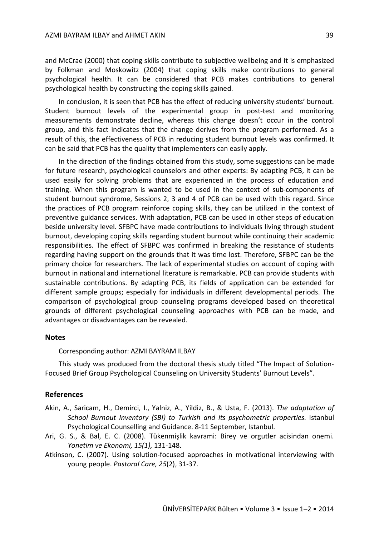and McCrae (2000) that coping skills contribute to subjective wellbeing and it is emphasized by Folkman and Moskowitz (2004) that coping skills make contributions to general psychological health. It can be considered that PCB makes contributions to general psychological health by constructing the coping skills gained.

In conclusion, it is seen that PCB has the effect of reducing university students' burnout. Student burnout levels of the experimental group in post-test and monitoring measurements demonstrate decline, whereas this change doesn't occur in the control group, and this fact indicates that the change derives from the program performed. As a result of this, the effectiveness of PCB in reducing student burnout levels was confirmed. It can be said that PCB has the quality that implementers can easily apply.

In the direction of the findings obtained from this study, some suggestions can be made for future research, psychological counselors and other experts: By adapting PCB, it can be used easily for solving problems that are experienced in the process of education and training. When this program is wanted to be used in the context of sub-components of student burnout syndrome, Sessions 2, 3 and 4 of PCB can be used with this regard. Since the practices of PCB program reinforce coping skills, they can be utilized in the context of preventive guidance services. With adaptation, PCB can be used in other steps of education beside university level. SFBPC have made contributions to individuals living through student burnout, developing coping skills regarding student burnout while continuing their academic responsibilities. The effect of SFBPC was confirmed in breaking the resistance of students regarding having support on the grounds that it was time lost. Therefore, SFBPC can be the primary choice for researchers. The lack of experimental studies on account of coping with burnout in national and international literature is remarkable. PCB can provide students with sustainable contributions. By adapting PCB, its fields of application can be extended for different sample groups; especially for individuals in different developmental periods. The comparison of psychological group counseling programs developed based on theoretical grounds of different psychological counseling approaches with PCB can be made, and advantages or disadvantages can be revealed.

#### **Notes**

Corresponding author: AZMI BAYRAM ILBAY

This study was produced from the doctoral thesis study titled "The Impact of Solution-Focused Brief Group Psychological Counseling on University Students' Burnout Levels".

#### **References**

- Akin, A., Saricam, H., Demirci, I., Yalniz, A., Yildiz, B., & Usta, F. (2013). *The adaptation of School Burnout Inventory (SBI) to Turkish and its psychometric properties.* Istanbul Psychological Counselling and Guidance. 8-11 September, Istanbul.
- Ari, G. S., & Bal, E. C. (2008). Tükenmişlik kavrami: Birey ve orgutler acisindan onemi. *Yonetim ve Ekonomi, 15(1),* 131-148.
- Atkinson, C. (2007). Using solution-focused approaches in motivational interviewing with young people. *Pastoral Care, 25*(2), 31-37.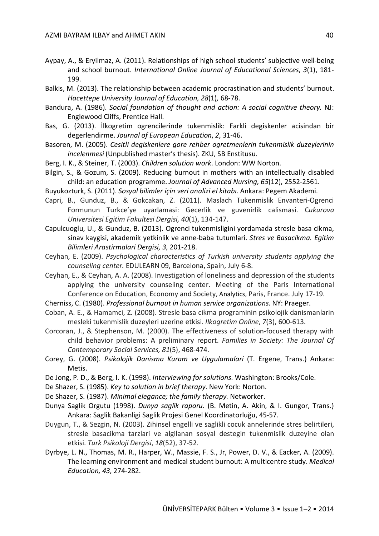- Aypay, A., & Eryilmaz, A. (2011). Relationships of high school students' subjective well-being and school burnout. *International Online Journal of Educational Sciences*, *3*(1), 181- 199.
- Balkis, M. (2013). The relationship between academic procrastination and students' burnout. *Hacettepe University Journal of Education, 28*(1)*,* 68-78.
- Bandura, A. (1986). *Social foundation of thought and action: A social cognitive theory.* NJ: Englewood Cliffs, Prentice Hall.
- Bas, G. (2013). İlkogretim ogrencilerinde tukenmislik: Farkli degiskenler acisindan bir degerlendirme. *Journal of European Education*, *2*, 31-46.
- Basoren, M. (2005). *Cesitli degiskenlere gore rehber ogretmenlerin tukenmislik duzeylerinin incelenmesi* (Unpublished master's thesis). ZKU, SB Enstitusu.
- Berg, I. K., & Steiner, T. (2003). *Children solution work*. London: WW Norton.
- Bilgin, S., & Gozum, S. (2009). Reducing burnout in mothers with an intellectually disabled child: an education programme. *Journal of Advanced Nursing, 65*(12), 2552-2561.
- Buyukozturk, S. (2011). *Sosyal bilimler için veri analizi el kitabı*. Ankara: Pegem Akademi.
- Capri, B., Gunduz, B., & Gokcakan, Z. (2011). Maslach Tukenmislik Envanteri-Ogrenci Formunun Turkce'ye uyarlamasi: Gecerlik ve guvenirlik calismasi. C*ukurova Universitesi Egitim Fakultesi Dergisi, 40*(1), 134-147.
- Capulcuoglu, U., & Gunduz, B. (2013). Ogrenci tukenmisligini yordamada stresle basa cikma, sinav kaygisi, akademik yetkinlik ve anne-baba tutumlari. *Stres ve Basacikma. Egitim Bilimleri Arastirmalari Dergisi, 3,* 201-218.
- Ceyhan, E. (2009). *Psychological characteristics of Turkish university students applying the counseling center.* EDULEARN 09, Barcelona, Spain, July 6-8.
- Ceyhan, E., & Ceyhan, A. A. (2008). Investigation of loneliness and depression of the students applying the university counseling center. Meeting of the Paris International Conference on Education, Economy and Society, Analytics, Paris, France. July 17-19.
- Cherniss, C. (1980). *Professional burnout in human service organizations.* NY: Praeger.
- Coban, A. E., & Hamamci, Z. (2008). Stresle basa cikma programinin psikolojik danismanlarin mesleki tukenmislik duzeyleri uzerine etkisi. *Ilkogretim Online*, *7*(3), 600-613.
- Corcoran, J., & Stephenson, M. (2000). The effectiveness of solution-focused therapy with child behavior problems: A preliminary report. *Families in Society: The Journal Of Contemporary Social Services, 81*(5), 468-474.
- Corey, G. (2008). *Psikolojik Danisma Kuram ve Uygulamalari* (T. Ergene, Trans.) Ankara: Metis.
- De Jong, P. D., & Berg, I. K. (1998). *Interviewing for solutions*. Washington: Brooks/Cole.
- De Shazer, S. (1985). *Key to solution in brief therapy*. New York: Norton.
- De Shazer, S. (1987). *Minimal elegance; the family therapy.* Networker.
- Dunya Saglik Orgutu (1998). *Dunya saglik raporu*. (B. Metin, A. Akin, & I. Gungor, Trans.) Ankara: Saglik Bakanligi Saglik Projesi Genel Koordinatorluğu, 45-57.
- Duygun, T., & Sezgin, N. (2003). Zihinsel engelli ve saglikli cocuk annelerinde stres belirtileri, stresle basacikma tarzlari ve algilanan sosyal destegin tukenmislik duzeyine olan etkisi. *Turk Psikoloji Dergisi*, *18*(52), 37-52.
- Dyrbye, L. N., Thomas, M. R., Harper, W., Massie, F. S., Jr, Power, D. V., & Eacker, A. (2009). The learning environment and medical student burnout: A multicentre study. *Medical Education, 43*, 274-282.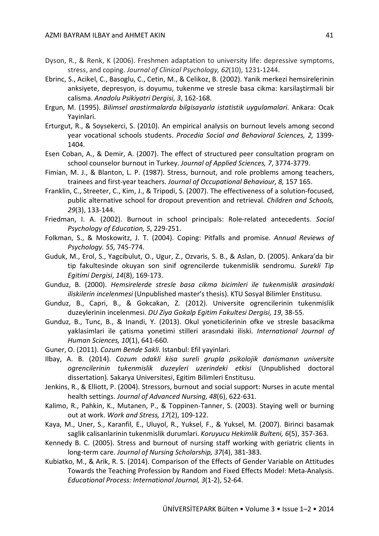- Dyson, R., & Renk, K (2006). Freshmen adaptation to university life: depressive symptoms, stress, and coping. *Journal of Clinical Psychology, 62*(10), 1231-1244.
- Ebrinc, S., Acikel, C., Basoglu, C., Cetin, M., & Celikoz, B. (2002). Yanik merkezi hemsirelerinin anksiyete, depresyon, is doyumu, tukenme ve stresle basa cikma: karsilaştirmali bir calisma. *Anadolu Psikiyatri Dergisi, 3*, 162-168.
- Ergun, M. (1995). *Bilimsel arastirmalarda bilgisayarla istatistik uygulamalari*. Ankara: Ocak Yayinlari.
- Erturgut, R., & Soysekerci, S. (2010). An empirical analysis on burnout levels among second year vocational schools students. *Procedia Social and Behavioral Sciences, 2,* 1399- 1404.
- Esen Coban, A., & Demir, A. (2007). The effect of structured peer consultation program on school counselor burnout in Turkey. *Journal of Applied Sciences, 7*, 3774-3779.
- Fimian, M. J., & Blanton, L. P. (1987). Stress, burnout, and role problems among teachers, trainees and first-year teachers. *Journal of Occupational Behaviour, 8,* 157 165.
- Franklin, C., Streeter, C., Kim, J., & Tripodi, S. (2007). The effectiveness of a solution-focused, public alternative school for dropout prevention and retrieval. *Children and Schools, 29*(3), 133-144.
- Friedman, I. A. (2002). Burnout in school principals: Role-related antecedents. *Social Psychology of Education, 5*, 229-251.
- Folkman, S., & Moskowitz, J. T. (2004). Coping: Pitfalls and promise. *Annual Reviews of Psychology. 55,* 745-774.
- Guduk, M., Erol, S., Yagcibulut, O., Ugur, Z., Ozvaris, S. B., & Aslan, D. (2005). Ankara'da bir tip fakultesinde okuyan son sinif ogrencilerde tukenmislik sendromu. *Surekli Tip Egitimi Dergisi*, *14*(8), 169-173.
- Gunduz, B. (2000). *Hemsirelerde stresle basa cikma bicimleri ile tukenmislik arasindaki iliskilerin incelenmesi* (Unpublished master's thesis). KTU Sosyal Bilimler Enstitusu.
- Gunduz, B., Capri, B., & Gokcakan, Z. (2012). Universite ogrencilerinin tukenmislik duzeylerinin incelenmesi. *DU Ziya Gokalp Egitim Fakultesi Dergisi, 19*, 38-55.
- Gunduz, B., Tunc, B., & Inandi, Y. (2013). Okul yoneticilerinin ofke ve stresle basacikma yaklasimlari ile çatisma yonetimi stilleri arasındaki iliski. *International Journal of Human Sciences, 10*(1), 641-660.
- Guner, O. (2011). *Cozum Bende Sakli*. Istanbul: Efil yayinlari.
- Ilbay, A. B. (2014). *Cozum odakli kisa sureli grupla psikolojik danismanın universite ogrencilerinin tukenmislik duzeyleri uzerindeki etkisi* (Unpublished doctoral dissertation)*.* Sakarya Universitesi, Egitim Bilimleri Enstitusu.
- Jenkins, R., & Elliott, P. (2004). Stressors, burnout and social support: Nurses in acute mental health settings. *Journal of Advanced Nursing, 48*(6), 622-631.
- Kalimo, R., Pahkin, K., Mutanen, P., & Toppinen-Tanner, S. (2003). Staying well or burning out at work. *Work and Stress, 17*(2), 109-122.
- Kaya, M., Uner, S., Karanfil, E., Uluyol, R., Yuksel, F., & Yuksel, M. (2007). Birinci basamak saglik calisanlarinin tukenmislik durumlari. *Koruyucu Hekimlik Bulteni, 6*(5), 357-363.
- Kennedy B. C. (2005). Stress and burnout of nursing staff working with geriatric clients in long-term care. *Journal of Nursing Scholarship, 37*(4), 381-383.
- Kubiatko, M., & Arik, R. S. (2014). Comparison of the Effects of Gender Variable on Attitudes Towards the Teaching Profession by Random and Fixed Effects Model: Meta-Analysis. *Educational Process: International Journal, 3*(1-2), 52-64.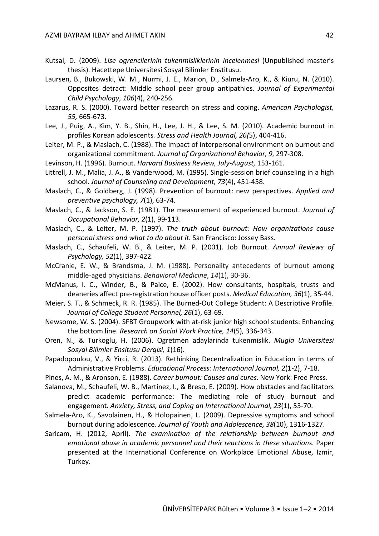- Kutsal, D. (2009). *Lise ogrencilerinin tukenmisliklerinin incelenmesi* (Unpublished master's thesis). Hacettepe Universitesi Sosyal Bilimler Enstitusu.
- Laursen, B., Bukowski, W. M., Nurmi, J. E., Marion, D., Salmela-Aro, K., & Kiuru, N. (2010). Opposites detract: Middle school peer group antipathies. *Journal of Experimental Child Psychology*, *106*(4), 240-256.
- Lazarus, R. S. (2000). Toward better research on stress and coping. *American Psychologist, 55,* 665-673.
- Lee, J., Puig, A., Kim, Y. B., Shin, H., Lee, J. H., & Lee, S. M. (2010). Academic burnout in profiles Korean adolescents*. Stress and Health Journal, 26(*5), 404-416.
- Leiter, M. P., & Maslach, C. (1988). The impact of interpersonal environment on burnout and organizational commitment. *Journal of Organizational Behavior, 9*, 297-308.
- Levinson, H. (1996). Burnout. *Harvard Business Review, July-August,* 153-161.
- Littrell, J. M., Malia, J. A., & Vanderwood, M. (1995). Single-session brief counseling in a high school. *Journal of Counseling and Development, 73*(4), 451-458.
- Maslach, C., & Goldberg, J. (1998). Prevention of burnout: new perspectives. *Applied and preventive psychology, 7*(1), 63-74.
- Maslach, C., & Jackson, S. E. (1981). The measurement of experienced burnout. *Journal of Occupational Behavior, 2*(1), 99-113.
- Maslach, C., & Leiter, M. P. (1997). *The truth about burnout: How organizations cause personal stress and what to do about it.* San Francisco: Jossey Bass.
- Maslach, C., Schaufeli, W. B., & Leiter, M. P. (2001). Job Burnout. *Annual Reviews of Psychology, 52*(1), 397-422.
- McCranie, E. W., & Brandsma, J. M. (1988). Personality antecedents of burnout among middle-aged physicians. *Behavioral Medicine*, *14*(1), 30-36.
- McManus, I. C., Winder, B., & Paice, E. (2002). How consultants, hospitals, trusts and deaneries affect pre-registration house officer posts. *Medical Education, 36*(1), 35-44.
- Meier, S. T., & Schmeck, R. R. (1985). The Burned-Out College Student: A Descriptive Profile. *Journal of College Student Personnel, 26*(1), 63-69.
- Newsome, W. S. (2004). SFBT Groupwork with at-risk junior high school students: Enhancing the bottom line. *Research on Social Work Practice, 14*(5)*,* 336-343.
- Oren, N., & Turkoglu, H. (2006). Ogretmen adaylarinda tukenmislik. *Mugla Universitesi Sosyal Bilimler Ensitusu Dergisi, 1*(16).
- Papadopoulou, V., & Yirci, R. (2013). Rethinking Decentralization in Education in terms of Administrative Problems. *Educational Process: International Journal, 2*(1-2), 7-18.
- Pines, A. M., & Aronson, E. (1988). *Career bumout: Causes and cures*. New York: Free Press.
- Salanova, M., Schaufeli, W. B., Martinez, I., & Breso, E. (2009). How obstacles and facilitators predict academic performance: The mediating role of study burnout and engagement. *Anxiety, Stress, and Coping an International Journal, 23*(1), 53-70.
- Salmela-Aro, K., Savolainen, H., & Holopainen, L. (2009). Depressive symptoms and school burnout during adolescence. *Journal of Youth and Adolescence, 38*(10), 1316-1327.
- Saricam, H. (2012, April). *The examination of the relationship between burnout and emotional abuse in academic personnel and their reactions in these situations.* Paper presented at the International Conference on Workplace Emotional Abuse, Izmir, Turkey.